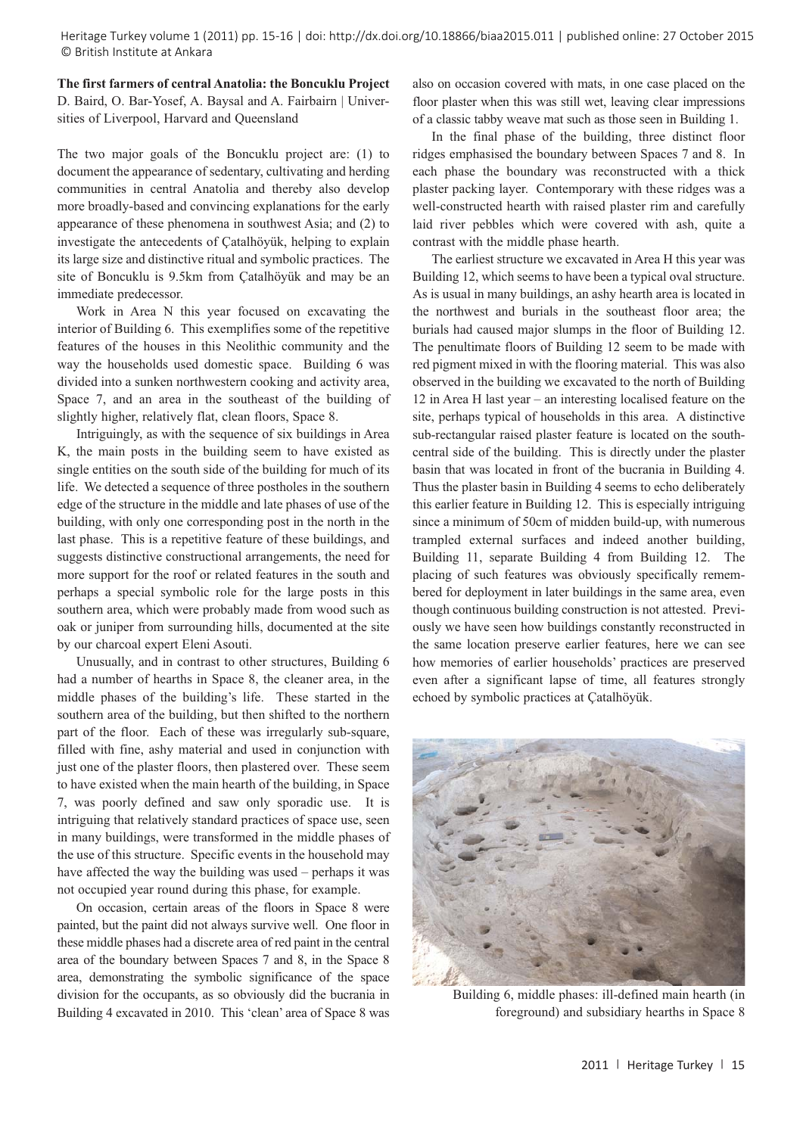Heritage Turkey volume 1 (2011) pp. 15-16 | doi: http://dx.doi.org/10.18866/biaa2015.011 | published online: 27 October 2015 © British Institute at Ankara

**The first farmers of central Anatolia: the Boncuklu Project** D. Baird, O. Bar-Yosef, A. Baysal and A. Fairbairn | Universities of Liverpool, Harvard and Queensland

The two major goals of the Boncuklu project are: (1) to document the appearance of sedentary, cultivating and herding communities in central Anatolia and thereby also develop more broadly-based and convincing explanations for the early appearance of these phenomena in southwest Asia; and (2) to investigate the antecedents of Çatalhöyük, helping to explain its large size and distinctive ritual and symbolic practices. The site of Boncuklu is 9.5km from Çatalhöyük and may be an immediate predecessor.

Work in Area N this year focused on excavating the interior of Building 6. This exemplifies some of the repetitive features of the houses in this Neolithic community and the way the households used domestic space. Building 6 was divided into a sunken northwestern cooking and activity area, Space 7, and an area in the southeast of the building of slightly higher, relatively flat, clean floors, Space 8.

Intriguingly, as with the sequence of six buildings in Area K, the main posts in the building seem to have existed as single entities on the south side of the building for much of its life. We detected a sequence of three postholes in the southern edge of the structure in the middle and late phases of use of the building, with only one corresponding post in the north in the last phase. This is a repetitive feature of these buildings, and suggests distinctive constructional arrangements, the need for more support for the roof or related features in the south and perhaps a special symbolic role for the large posts in this southern area, which were probably made from wood such as oak or juniper from surrounding hills, documented at the site by our charcoal expert Eleni Asouti.

Unusually, and in contrast to other structures, Building 6 had a number of hearths in Space 8, the cleaner area, in the middle phases of the building's life. These started in the southern area of the building, but then shifted to the northern part of the floor. Each of these was irregularly sub-square, filled with fine, ashy material and used in conjunction with just one of the plaster floors, then plastered over. These seem to have existed when the main hearth of the building, in Space 7, was poorly defined and saw only sporadic use. It is intriguing that relatively standard practices of space use, seen in many buildings, were transformed in the middle phases of the use of this structure. Specific events in the household may have affected the way the building was used – perhaps it was not occupied year round during this phase, for example.

On occasion, certain areas of the floors in Space 8 were painted, but the paint did not always survive well. One floor in these middle phases had a discrete area of red paint in the central area of the boundary between Spaces 7 and 8, in the Space 8 area, demonstrating the symbolic significance of the space division for the occupants, as so obviously did the bucrania in Building 4 excavated in 2010. This 'clean' area of Space 8 was also on occasion covered with mats, in one case placed on the floor plaster when this was still wet, leaving clear impressions of a classic tabby weave mat such as those seen in Building 1.

In the final phase of the building, three distinct floor ridges emphasised the boundary between Spaces 7 and 8. In each phase the boundary was reconstructed with a thick plaster packing layer. Contemporary with these ridges was a well-constructed hearth with raised plaster rim and carefully laid river pebbles which were covered with ash, quite a contrast with the middle phase hearth.

The earliest structure we excavated in Area H this year was Building 12, which seems to have been a typical oval structure. As is usual in many buildings, an ashy hearth area is located in the northwest and burials in the southeast floor area; the burials had caused major slumps in the floor of Building 12. The penultimate floors of Building 12 seem to be made with red pigment mixed in with the flooring material. This was also observed in the building we excavated to the north of Building 12 in Area H last year – an interesting localised feature on the site, perhaps typical of households in this area. A distinctive sub-rectangular raised plaster feature is located on the southcentral side of the building. This is directly under the plaster basin that was located in front of the bucrania in Building 4. Thus the plaster basin in Building 4 seems to echo deliberately this earlier feature in Building 12. This is especially intriguing since a minimum of 50cm of midden build-up, with numerous trampled external surfaces and indeed another building, Building 11, separate Building 4 from Building 12. The placing of such features was obviously specifically remembered for deployment in later buildings in the same area, even though continuous building construction is not attested. Previously we have seen how buildings constantly reconstructed in the same location preserve earlier features, here we can see how memories of earlier households' practices are preserved even after a significant lapse of time, all features strongly echoed by symbolic practices at Çatalhöyük.



Building 6, middle phases: ill-defined main hearth (in foreground) and subsidiary hearths in Space 8